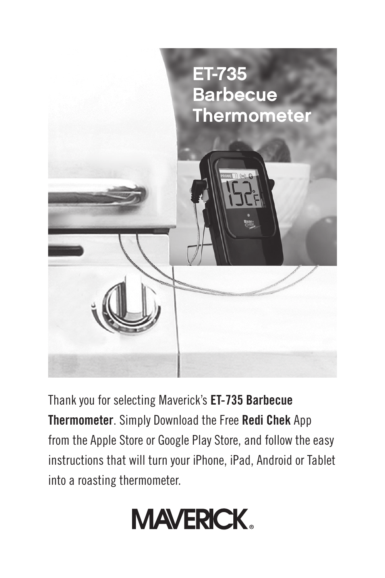

Thank you for selecting Maverick's **ET-735 Barbecue Thermometer**. Simply Download the Free **Redi Chek** App from the Apple Store or Google Play Store, and follow the easy instructions that will turn your iPhone, iPad, Android or Tablet into a roasting thermometer.

# **MAVERICK.**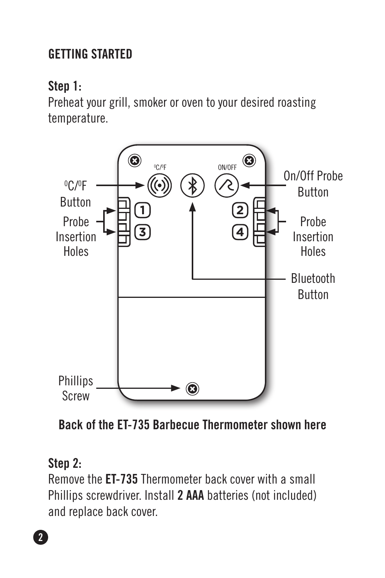# **Getting started**

## **Step 1:**

Preheat your grill, smoker or oven to your desired roasting temperature.



**Back of the ET-735 Barbecue Thermometer shown here**

#### **Step 2:**

Remove the **ET-735** Thermometer back cover with a small Phillips screwdriver. Install **2 AAA** batteries (not included) and replace back cover.

**2**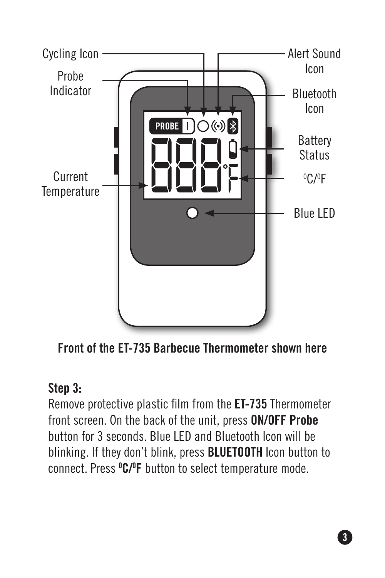

**Front of the ET-735 Barbecue Thermometer shown here**

#### **Step 3:**

Remove protective plastic film from the **ET-735** Thermometer front screen. On the back of the unit, press **ON/OFF Probe** button for 3 seconds. Blue LED and Bluetooth Icon will be blinking. If they don't blink, press **BLUETOOTH** Icon button to connect. Press **<sup>0</sup> C/0 F** button to select temperature mode.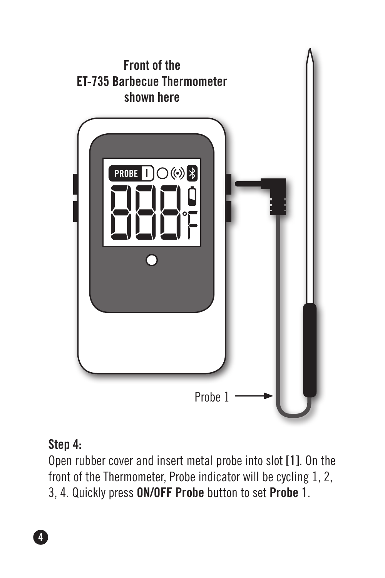

#### **Step 4:**

Open rubber cover and insert metal probe into slot **[1]**. On the front of the Thermometer, Probe indicator will be cycling 1, 2, 3, 4. Quickly press **ON/OFF Probe** button to set **Probe 1**.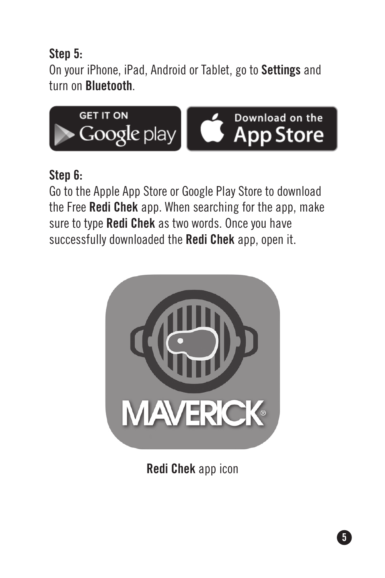## **Step 5:**

On your iPhone, iPad, Android or Tablet, go to **Settings** and turn on **Bluetooth**.



#### **Step 6:**

Go to the Apple App Store or Google Play Store to download the Free **Redi Chek** app. When searching for the app, make sure to type **Redi Chek** as two words. Once you have successfully downloaded the **Redi Chek** app, open it.



**Redi Chek** app icon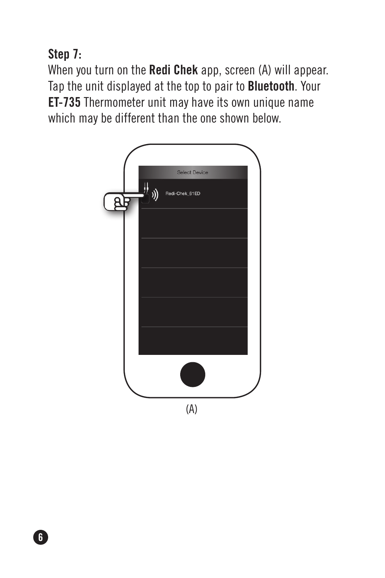**Step 7:**

When you turn on the **Redi Chek** app, screen (A) will appear. Tap the unit displayed at the top to pair to **Bluetooth**. Your **ET-735** Thermometer unit may have its own unique name which may be different than the one shown below.



**6**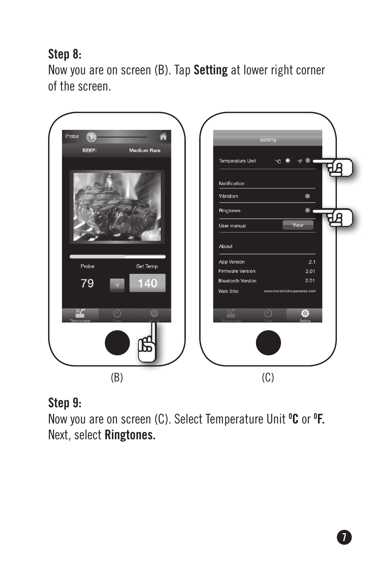# **Step 8:**

Now you are on screen (B). Tap **Setting** at lower right corner of the screen.



## **Step 9:**

Now you are on screen (C). Select Temperature Unit **<sup>0</sup> C** or **<sup>0</sup> F.** Next, select **Ringtones.**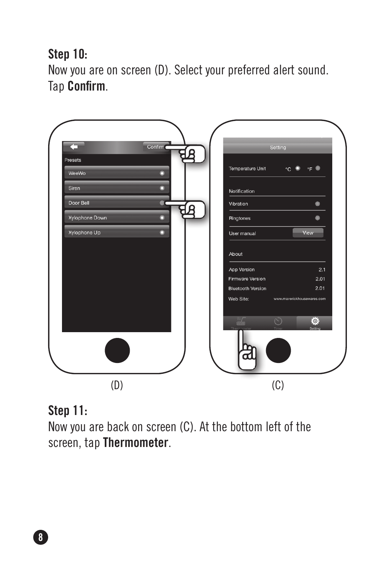**Step 10:**

Now you are on screen (D). Select your preferred alert sound. Tap **Confirm**.



#### **Step 11:**

Now you are back on screen (C). At the bottom left of the screen, tap **Thermometer**.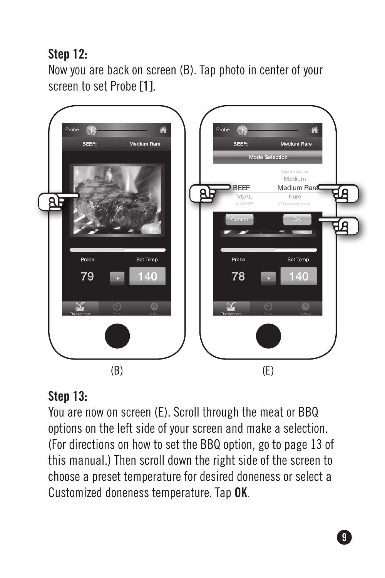**Step 12:**

Now you are back on screen (B). Tap photo in center of your screen to set Probe **[1]**.



## **Step 13:**

You are now on screen (E). Scroll through the meat or BBQ options on the left side of your screen and make a selection. (For directions on how to set the BBQ option, go to page 13 of this manual.) Then scroll down the right side of the screen to choose a preset temperature for desired doneness or select a Customized doneness temperature. Tap **OK**.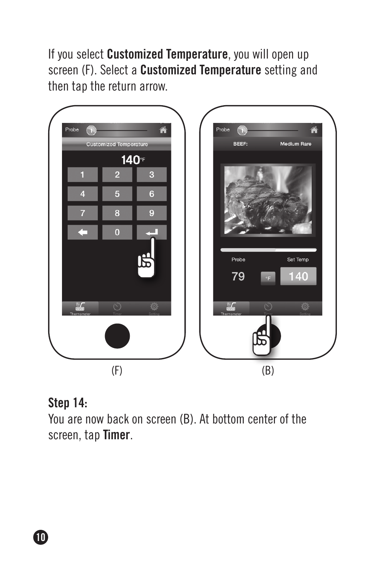If you select **Customized Temperature**, you will open up screen (F). Select a **Customized Temperature** setting and then tap the return arrow.



#### **Step 14:**

You are now back on screen (B). At bottom center of the screen, tap **Timer**.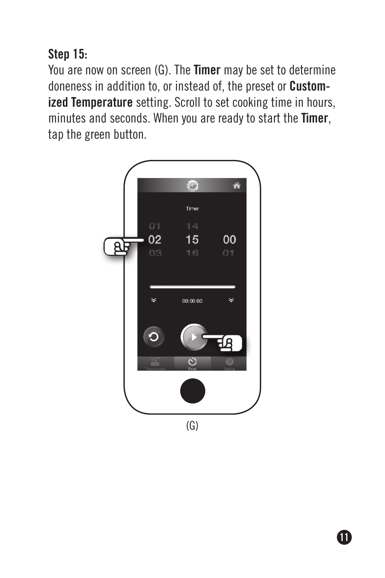# **Step 15:**

You are now on screen (G). The **Timer** may be set to determine doneness in addition to, or instead of, the preset or **Customized Temperature** setting. Scroll to set cooking time in hours, minutes and seconds. When you are ready to start the **Timer**, tap the green button.

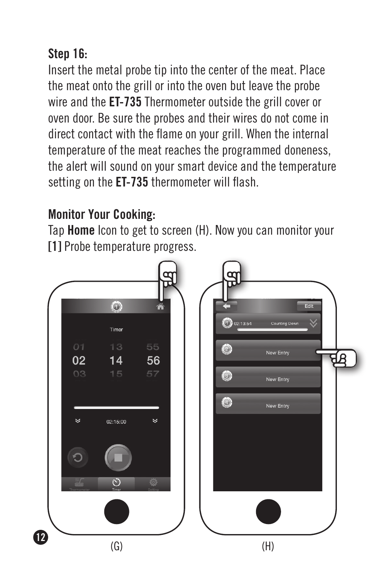# **Step 16:**

Insert the metal probe tip into the center of the meat. Place the meat onto the grill or into the oven but leave the probe wire and the **ET-735** Thermometer outside the grill cover or oven door. Be sure the probes and their wires do not come in direct contact with the flame on your grill. When the internal temperature of the meat reaches the programmed doneness, the alert will sound on your smart device and the temperature setting on the **ET-735** thermometer will flash.

## **Monitor Your Cooking:**

Tap **Home** Icon to get to screen (H). Now you can monitor your **[1]** Probe temperature progress.

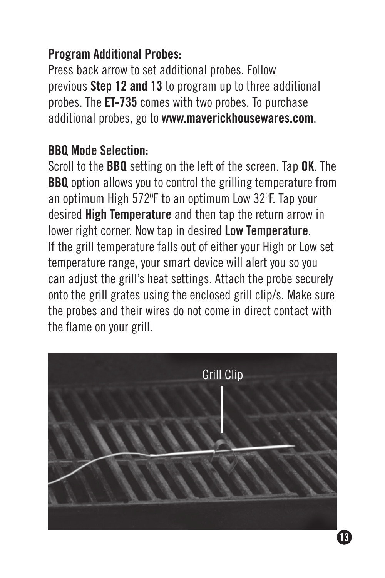# **Program Additional Probes:**

Press back arrow to set additional probes. Follow previous **Step 12 and 13** to program up to three additional probes. The **ET-735** comes with two probes. To purchase additional probes, go to **www.maverickhousewares.com**.

#### **BBQ Mode Selection:**

Scroll to the **BBQ** setting on the left of the screen. Tap **OK**. The **BBQ** option allows you to control the grilling temperature from an optimum High 5720 F to an optimum Low 320 F. Tap your desired **High Temperature** and then tap the return arrow in lower right corner. Now tap in desired **Low Temperature**. If the grill temperature falls out of either your High or Low set temperature range, your smart device will alert you so you can adjust the grill's heat settings. Attach the probe securely onto the grill grates using the enclosed grill clip/s. Make sure the probes and their wires do not come in direct contact with the flame on your grill.

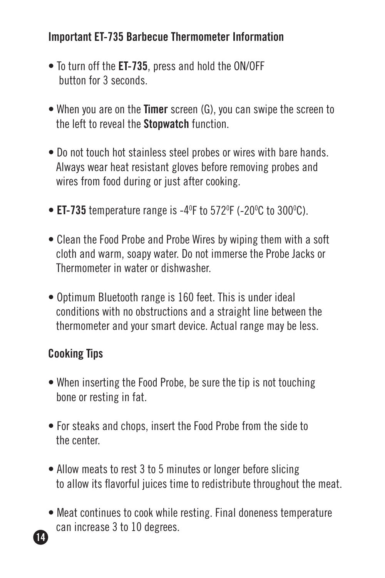#### **Important ET-735 Barbecue Thermometer Information**

- To turn off the **ET-735**, press and hold the ON/OFF button for 3 seconds.
- When you are on the **Timer** screen (G), you can swipe the screen to the left to reveal the **Stopwatch** function.
- Do not touch hot stainless steel probes or wires with bare hands. Always wear heat resistant gloves before removing probes and wires from food during or just after cooking.
- $\bullet$  **ET-735** temperature range is -4<sup>o</sup>F to 572<sup>o</sup>F (-20<sup>o</sup>C to 300<sup>o</sup>C).
- Clean the Food Probe and Probe Wires by wiping them with a soft cloth and warm, soapy water. Do not immerse the Probe Jacks or Thermometer in water or dishwasher.
- Optimum Bluetooth range is 160 feet. This is under ideal conditions with no obstructions and a straight line between the thermometer and your smart device. Actual range may be less.

#### **Cooking Tips**

- When inserting the Food Probe, be sure the tip is not touching bone or resting in fat.
- For steaks and chops, insert the Food Probe from the side to the center.
- Allow meats to rest 3 to 5 minutes or longer before slicing to allow its flavorful juices time to redistribute throughout the meat.
- Meat continues to cook while resting. Final doneness temperature can increase 3 to 10 degrees. **14**